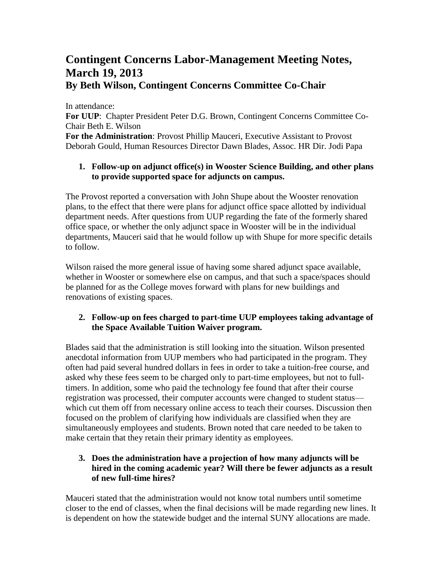## **Contingent Concerns Labor-Management Meeting Notes, March 19, 2013 By Beth Wilson, Contingent Concerns Committee Co-Chair**

In attendance: **For UUP**: Chapter President Peter D.G. Brown, Contingent Concerns Committee Co-Chair Beth E. Wilson **For the Administration**: Provost Phillip Mauceri, Executive Assistant to Provost Deborah Gould, Human Resources Director Dawn Blades, Assoc. HR Dir. Jodi Papa

## **1. Follow-up on adjunct office(s) in Wooster Science Building, and other plans to provide supported space for adjuncts on campus.**

The Provost reported a conversation with John Shupe about the Wooster renovation plans, to the effect that there were plans for adjunct office space allotted by individual department needs. After questions from UUP regarding the fate of the formerly shared office space, or whether the only adjunct space in Wooster will be in the individual departments, Mauceri said that he would follow up with Shupe for more specific details to follow.

Wilson raised the more general issue of having some shared adjunct space available, whether in Wooster or somewhere else on campus, and that such a space/spaces should be planned for as the College moves forward with plans for new buildings and renovations of existing spaces.

## **2. Follow-up on fees charged to part-time UUP employees taking advantage of the Space Available Tuition Waiver program.**

Blades said that the administration is still looking into the situation. Wilson presented anecdotal information from UUP members who had participated in the program. They often had paid several hundred dollars in fees in order to take a tuition-free course, and asked why these fees seem to be charged only to part-time employees, but not to fulltimers. In addition, some who paid the technology fee found that after their course registration was processed, their computer accounts were changed to student status which cut them off from necessary online access to teach their courses. Discussion then focused on the problem of clarifying how individuals are classified when they are simultaneously employees and students. Brown noted that care needed to be taken to make certain that they retain their primary identity as employees.

## **3. Does the administration have a projection of how many adjuncts will be hired in the coming academic year? Will there be fewer adjuncts as a result of new full-time hires?**

Mauceri stated that the administration would not know total numbers until sometime closer to the end of classes, when the final decisions will be made regarding new lines. It is dependent on how the statewide budget and the internal SUNY allocations are made.